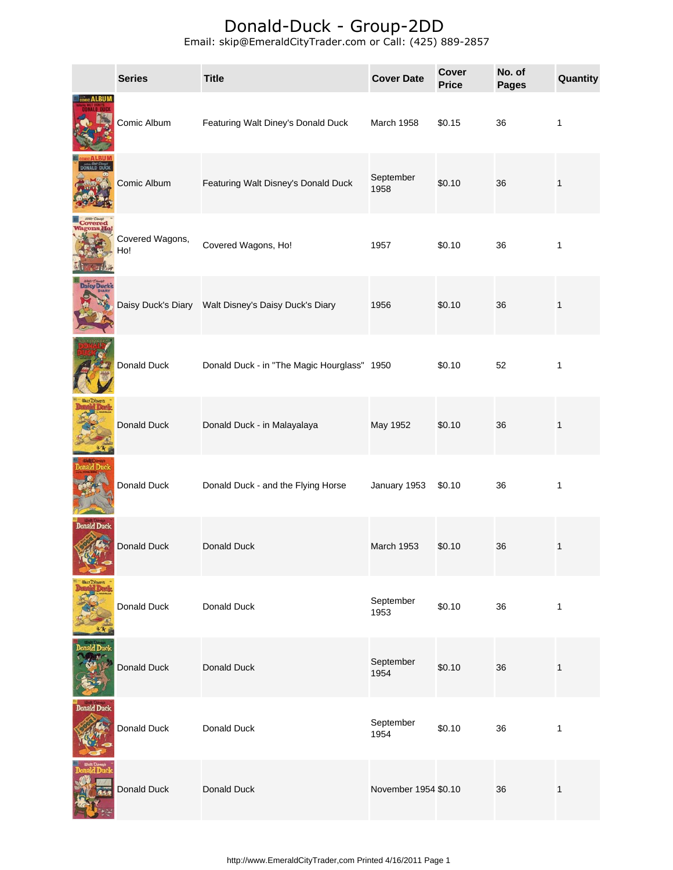|                     | <b>Series</b>          | <b>Title</b>                                        | <b>Cover Date</b>    | Cover<br><b>Price</b> | No. of<br><b>Pages</b> | Quantity     |
|---------------------|------------------------|-----------------------------------------------------|----------------------|-----------------------|------------------------|--------------|
|                     | Comic Album            | Featuring Walt Diney's Donald Duck                  | March 1958           | \$0.15                | 36                     | 1            |
|                     | Comic Album            | Featuring Walt Disney's Donald Duck                 | September<br>1958    | \$0.10                | 36                     | $\mathbf{1}$ |
| <b>Covered</b>      | Covered Wagons,<br>Ho! | Covered Wagons, Ho!                                 | 1957                 | \$0.10                | 36                     | 1            |
| <b>Daisy Duck's</b> |                        | Daisy Duck's Diary Walt Disney's Daisy Duck's Diary | 1956                 | \$0.10                | 36                     | $\mathbf{1}$ |
|                     | Donald Duck            | Donald Duck - in "The Magic Hourglass" 1950         |                      | \$0.10                | 52                     | 1            |
|                     | Donald Duck            | Donald Duck - in Malayalaya                         | May 1952             | \$0.10                | 36                     | $\mathbf{1}$ |
|                     | Donald Duck            | Donald Duck - and the Flying Horse                  | January 1953         | \$0.10                | 36                     | 1            |
| <b>Donald Duck</b>  | Donald Duck            | Donald Duck                                         | March 1953           | \$0.10                | 36                     | 1            |
|                     | Donald Duck            | Donald Duck                                         | September<br>1953    | \$0.10                | 36                     | $\mathbf{1}$ |
|                     | Donald Duck            | Donald Duck                                         | September<br>1954    | \$0.10                | 36                     | $\mathbf{1}$ |
| <b>Donald Duck</b>  | Donald Duck            | Donald Duck                                         | September<br>1954    | \$0.10                | 36                     | 1            |
|                     | Donald Duck            | Donald Duck                                         | November 1954 \$0.10 |                       | 36                     | $\mathbf{1}$ |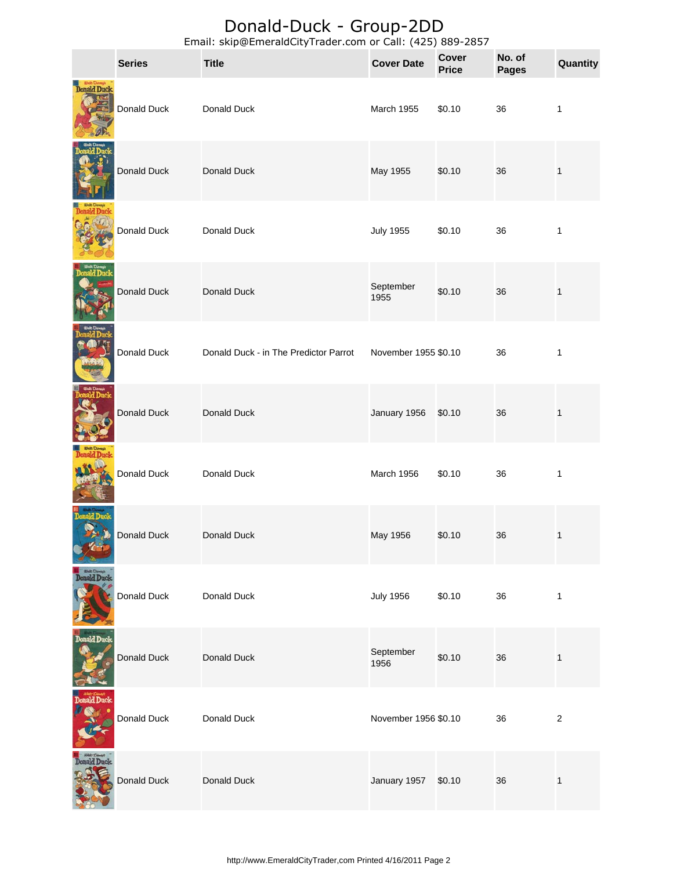|                    | <b>Series</b> | Lindin, Skip@LineraldCity Frauer.com or Cali. (425) 009-2057<br><b>Title</b> | <b>Cover Date</b>    | <b>Cover</b><br><b>Price</b> | No. of<br><b>Pages</b> | Quantity         |
|--------------------|---------------|------------------------------------------------------------------------------|----------------------|------------------------------|------------------------|------------------|
| <b>Donald Duck</b> | Donald Duck   | Donald Duck                                                                  | March 1955           | \$0.10                       | 36                     | $\mathbf{1}$     |
|                    | Donald Duck   | Donald Duck                                                                  | May 1955             | \$0.10                       | 36                     | $\mathbf{1}$     |
|                    | Donald Duck   | Donald Duck                                                                  | <b>July 1955</b>     | \$0.10                       | 36                     | 1                |
|                    | Donald Duck   | Donald Duck                                                                  | September<br>1955    | \$0.10                       | 36                     | 1                |
|                    | Donald Duck   | Donald Duck - in The Predictor Parrot                                        | November 1955 \$0.10 |                              | 36                     | $\mathbf{1}$     |
|                    | Donald Duck   | Donald Duck                                                                  | January 1956         | \$0.10                       | 36                     | $\mathbf{1}$     |
|                    | Donald Duck   | Donald Duck                                                                  | March 1956           | \$0.10                       | 36                     | 1                |
|                    | Donald Duck   | Donald Duck                                                                  | May 1956             | \$0.10                       | 36                     | 1                |
| Donald Duck        | Donald Duck   | Donald Duck                                                                  | <b>July 1956</b>     | \$0.10                       | 36                     | $\mathbf{1}$     |
| Donald Duck        | Donald Duck   | Donald Duck                                                                  | September<br>1956    | \$0.10                       | 36                     | $\mathbf{1}$     |
| <b>Donald Duck</b> | Donald Duck   | Donald Duck                                                                  | November 1956 \$0.10 |                              | 36                     | $\boldsymbol{2}$ |
| <b>Donald Duck</b> | Donald Duck   | Donald Duck                                                                  | January 1957         | \$0.10                       | 36                     | $\mathbf{1}$     |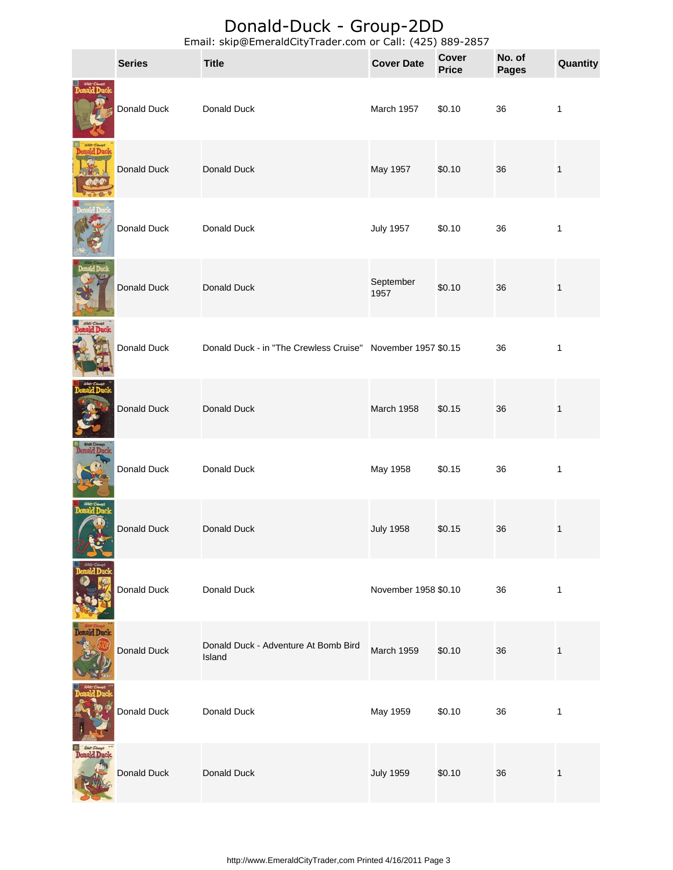|                    | <b>Series</b> | Lindii. Skip@LineraldCity Hauer.com or Cali. (423) 009-2037<br><b>Title</b> | <b>Cover Date</b>    | <b>Cover</b><br><b>Price</b> | No. of<br><b>Pages</b> | Quantity     |
|--------------------|---------------|-----------------------------------------------------------------------------|----------------------|------------------------------|------------------------|--------------|
|                    | Donald Duck   | Donald Duck                                                                 | March 1957           | \$0.10                       | 36                     | $\mathbf{1}$ |
| ald Duck           | Donald Duck   | Donald Duck                                                                 | May 1957             | \$0.10                       | 36                     | $\mathbf 1$  |
|                    | Donald Duck   | Donald Duck                                                                 | <b>July 1957</b>     | \$0.10                       | 36                     | $\mathbf{1}$ |
|                    | Donald Duck   | Donald Duck                                                                 | September<br>1957    | \$0.10                       | 36                     | $\mathbf{1}$ |
|                    | Donald Duck   | Donald Duck - in "The Crewless Cruise" November 1957 \$0.15                 |                      |                              | 36                     | $\mathbf{1}$ |
|                    | Donald Duck   | Donald Duck                                                                 | March 1958           | \$0.15                       | 36                     | $\mathbf 1$  |
|                    | Donald Duck   | Donald Duck                                                                 | May 1958             | \$0.15                       | 36                     | $\mathbf{1}$ |
|                    | Donald Duck   | Donald Duck                                                                 | <b>July 1958</b>     | \$0.15                       | 36                     | $\mathbf{1}$ |
|                    | Donald Duck   | Donald Duck                                                                 | November 1958 \$0.10 |                              | 36                     | $\mathbf{1}$ |
| nald Duck          | Donald Duck   | Donald Duck - Adventure At Bomb Bird<br>Island                              | March 1959           | \$0.10                       | 36                     | $\mathbf{1}$ |
|                    | Donald Duck   | Donald Duck                                                                 | May 1959             | \$0.10                       | 36                     | 1            |
| <b>Donald Duck</b> | Donald Duck   | Donald Duck                                                                 | <b>July 1959</b>     | \$0.10                       | 36                     | $\mathbf{1}$ |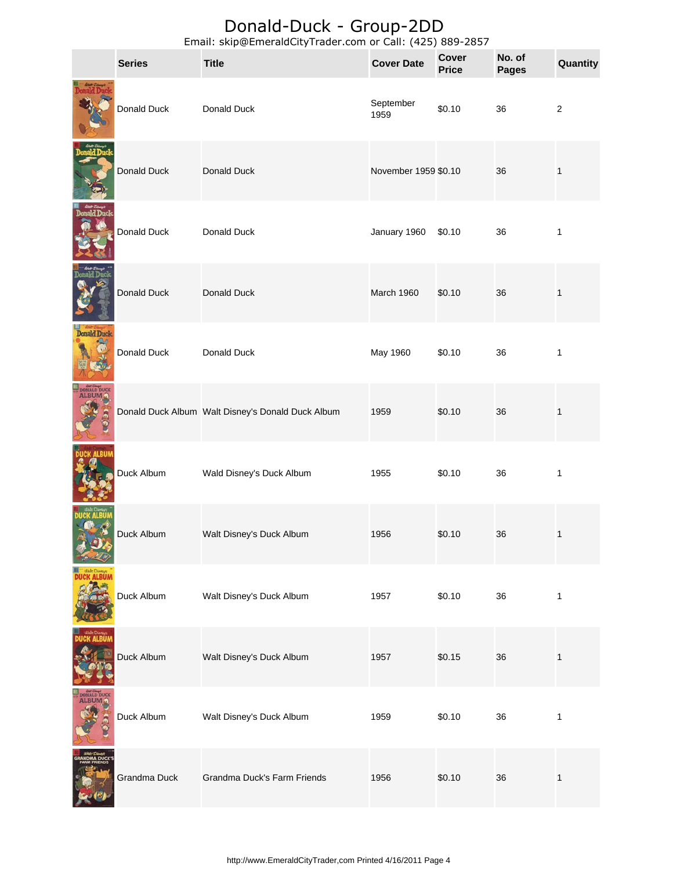|                    | <b>Series</b> | <b>Title</b>                                      | <b>Cover Date</b>    | <b>Cover</b><br><b>Price</b> | No. of<br><b>Pages</b> | Quantity     |
|--------------------|---------------|---------------------------------------------------|----------------------|------------------------------|------------------------|--------------|
|                    | Donald Duck   | Donald Duck                                       | September<br>1959    | \$0.10                       | 36                     | $\sqrt{2}$   |
|                    | Donald Duck   | Donald Duck                                       | November 1959 \$0.10 |                              | 36                     | 1            |
|                    | Donald Duck   | Donald Duck                                       | January 1960         | \$0.10                       | 36                     | 1            |
|                    | Donald Duck   | Donald Duck                                       | March 1960           | \$0.10                       | 36                     | 1            |
| <b>Donald Duck</b> | Donald Duck   | Donald Duck                                       | May 1960             | \$0.10                       | 36                     | $\mathbf{1}$ |
|                    |               | Donald Duck Album Walt Disney's Donald Duck Album | 1959                 | \$0.10                       | 36                     | $\mathbf 1$  |
|                    | Duck Album    | Wald Disney's Duck Album                          | 1955                 | \$0.10                       | 36                     | 1            |
|                    | Duck Album    | Walt Disney's Duck Album                          | 1956                 | \$0.10                       | 36                     | 1            |
|                    | Duck Album    | Walt Disney's Duck Album                          | 1957                 | \$0.10                       | 36                     | 1            |
|                    | Duck Album    | Walt Disney's Duck Album                          | 1957                 | \$0.15                       | 36                     | 1            |
| <b>ALBUM A</b>     | Duck Album    | Walt Disney's Duck Album                          | 1959                 | \$0.10                       | 36                     | 1            |
|                    | Grandma Duck  | Grandma Duck's Farm Friends                       | 1956                 | \$0.10                       | 36                     | $\mathbf{1}$ |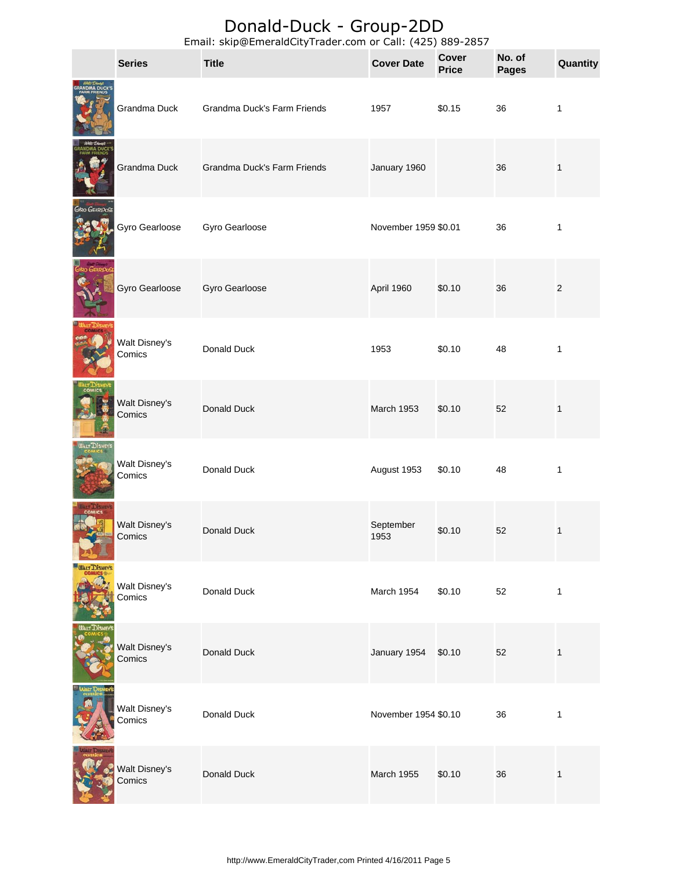|                     | <b>Series</b>           | Lindi. Skip@LineraldCityTrader.com or Cali. (423) 669-2637<br><b>Title</b> | <b>Cover Date</b>    | <b>Cover</b><br><b>Price</b> | No. of<br><b>Pages</b> | Quantity     |
|---------------------|-------------------------|----------------------------------------------------------------------------|----------------------|------------------------------|------------------------|--------------|
|                     | Grandma Duck            | Grandma Duck's Farm Friends                                                | 1957                 | \$0.15                       | 36                     | $\mathbf{1}$ |
|                     | Grandma Duck            | Grandma Duck's Farm Friends                                                | January 1960         |                              | 36                     | $\mathbf 1$  |
| GYRO GEARLOOSE      | Gyro Gearloose          | Gyro Gearloose                                                             | November 1959 \$0.01 |                              | 36                     | 1            |
|                     | Gyro Gearloose          | Gyro Gearloose                                                             | April 1960           | \$0.10                       | 36                     | $\sqrt{2}$   |
|                     | Walt Disney's<br>Comics | Donald Duck                                                                | 1953                 | \$0.10                       | 48                     | 1            |
|                     | Walt Disney's<br>Comics | Donald Duck                                                                | March 1953           | \$0.10                       | 52                     | 1            |
| <b>UALT DISNEYS</b> | Walt Disney's<br>Comics | Donald Duck                                                                | August 1953          | \$0.10                       | 48                     | 1            |
|                     | Walt Disney's<br>Comics | Donald Duck                                                                | September<br>1953    | \$0.10                       | 52                     | 1            |
| <b>WALT DISNEYS</b> | Walt Disney's<br>Comics | Donald Duck                                                                | March 1954           | \$0.10                       | 52                     | $\mathbf{1}$ |
|                     | Walt Disney's<br>Comics | Donald Duck                                                                | January 1954         | \$0.10                       | 52                     | 1            |
|                     | Walt Disney's<br>Comics | Donald Duck                                                                | November 1954 \$0.10 |                              | 36                     | $\mathbf{1}$ |
|                     | Walt Disney's<br>Comics | Donald Duck                                                                | March 1955           | \$0.10                       | 36                     | $\mathbf{1}$ |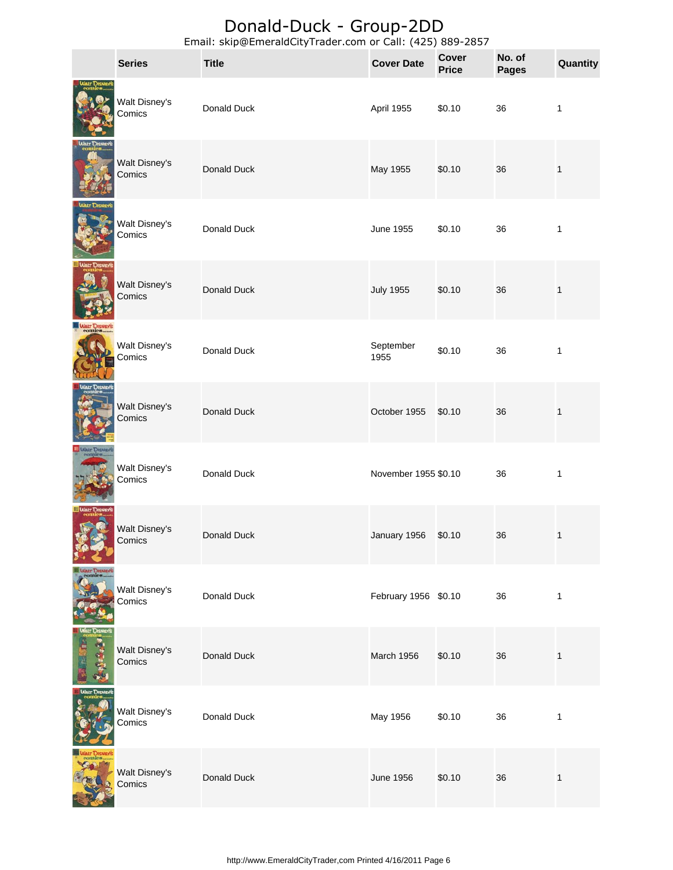|                 | <b>Series</b>           | Lindin, Skip@LincrataCity rrader.com or Cali. (423) 003 2037<br><b>Title</b> | <b>Cover Date</b>    | <b>Cover</b><br><b>Price</b> | No. of<br><b>Pages</b> | Quantity     |
|-----------------|-------------------------|------------------------------------------------------------------------------|----------------------|------------------------------|------------------------|--------------|
|                 | Walt Disney's<br>Comics | Donald Duck                                                                  | April 1955           | \$0.10                       | 36                     | $\mathbf{1}$ |
|                 | Walt Disney's<br>Comics | Donald Duck                                                                  | May 1955             | \$0.10                       | 36                     | $\mathbf 1$  |
| <b>MALT DIS</b> | Walt Disney's<br>Comics | Donald Duck                                                                  | June 1955            | \$0.10                       | 36                     | $\mathbf{1}$ |
|                 | Walt Disney's<br>Comics | Donald Duck                                                                  | <b>July 1955</b>     | \$0.10                       | 36                     | $\mathbf{1}$ |
|                 | Walt Disney's<br>Comics | Donald Duck                                                                  | September<br>1955    | \$0.10                       | 36                     | $\mathbf{1}$ |
|                 | Walt Disney's<br>Comics | Donald Duck                                                                  | October 1955         | \$0.10                       | 36                     | $\mathbf{1}$ |
|                 | Walt Disney's<br>Comics | Donald Duck                                                                  | November 1955 \$0.10 |                              | 36                     | $\mathbf{1}$ |
|                 | Walt Disney's<br>Comics | Donald Duck                                                                  | January 1956         | \$0.10                       | 36                     | 1            |
|                 | Walt Disney's<br>Comics | Donald Duck                                                                  | February 1956 \$0.10 |                              | 36                     | $\mathbf{1}$ |
|                 | Walt Disney's<br>Comics | Donald Duck                                                                  | March 1956           | \$0.10                       | 36                     | $\mathbf{1}$ |
|                 | Walt Disney's<br>Comics | Donald Duck                                                                  | May 1956             | \$0.10                       | 36                     | 1            |
|                 | Walt Disney's<br>Comics | Donald Duck                                                                  | <b>June 1956</b>     | \$0.10                       | 36                     | $\mathbf{1}$ |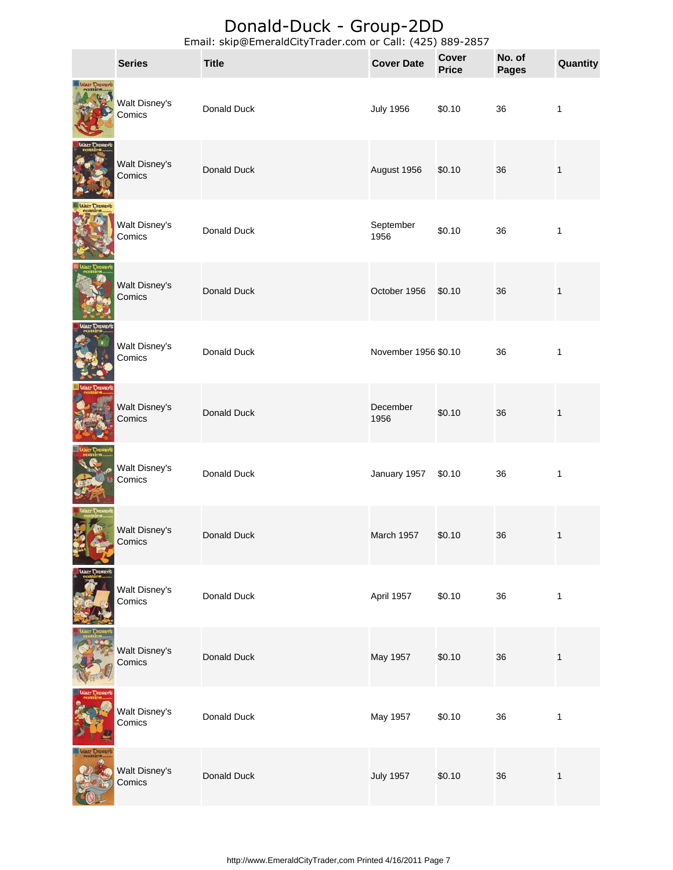|               | <b>Series</b>           | Lindii. Skip@LineraldCity Hauer.com or Cali. (423) 009-2037<br><b>Title</b> | <b>Cover Date</b>    | <b>Cover</b><br><b>Price</b> | No. of<br><b>Pages</b> | Quantity     |
|---------------|-------------------------|-----------------------------------------------------------------------------|----------------------|------------------------------|------------------------|--------------|
| WALT DISNEY'S | Walt Disney's<br>Comics | Donald Duck                                                                 | <b>July 1956</b>     | \$0.10                       | 36                     | $\mathbf{1}$ |
|               | Walt Disney's<br>Comics | Donald Duck                                                                 | August 1956          | \$0.10                       | 36                     | $\mathbf{1}$ |
|               | Walt Disney's<br>Comics | Donald Duck                                                                 | September<br>1956    | \$0.10                       | 36                     | 1            |
|               | Walt Disney's<br>Comics | Donald Duck                                                                 | October 1956         | \$0.10                       | 36                     | $\mathbf{1}$ |
|               | Walt Disney's<br>Comics | Donald Duck                                                                 | November 1956 \$0.10 |                              | 36                     | $\mathbf{1}$ |
|               | Walt Disney's<br>Comics | Donald Duck                                                                 | December<br>1956     | \$0.10                       | 36                     | $\mathbf{1}$ |
|               | Walt Disney's<br>Comics | Donald Duck                                                                 | January 1957         | \$0.10                       | 36                     | $\mathbf{1}$ |
|               | Walt Disney's<br>Comics | Donald Duck                                                                 | March 1957           | \$0.10                       | 36                     |              |
|               | Walt Disney's<br>Comics | Donald Duck                                                                 | April 1957           | \$0.10                       | 36                     | $\mathbf{1}$ |
|               | Walt Disney's<br>Comics | Donald Duck                                                                 | May 1957             | \$0.10                       | 36                     | $\mathbf{1}$ |
|               | Walt Disney's<br>Comics | Donald Duck                                                                 | May 1957             | \$0.10                       | 36                     | $\mathbf{1}$ |
|               | Walt Disney's<br>Comics | Donald Duck                                                                 | <b>July 1957</b>     | \$0.10                       | 36                     | $\mathbf{1}$ |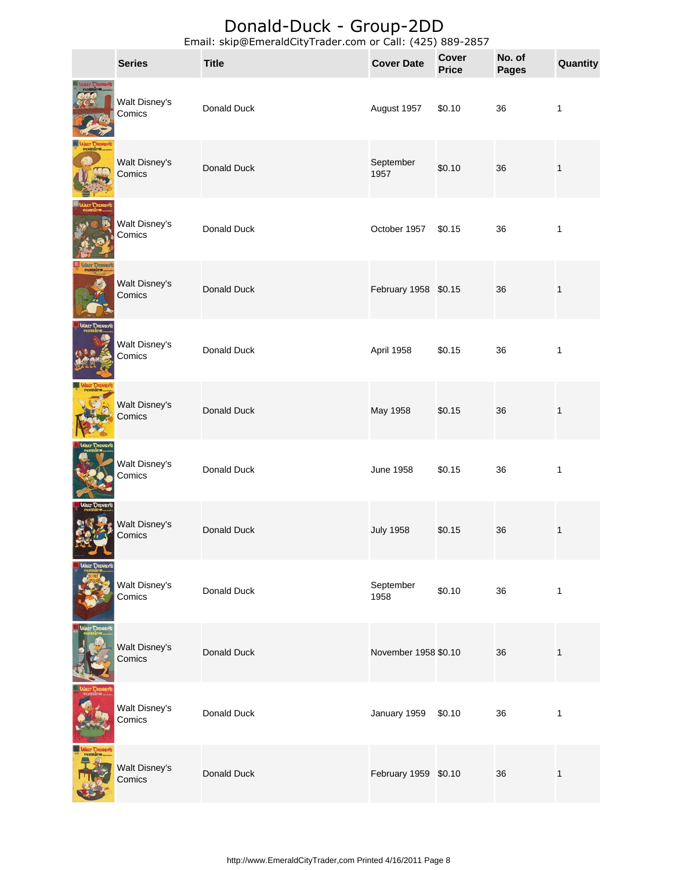|                                | <b>Series</b>           | <b>Title</b> | <b>Cover Date</b>    | <b>Cover</b><br><b>Price</b> | No. of<br><b>Pages</b> | Quantity     |
|--------------------------------|-------------------------|--------------|----------------------|------------------------------|------------------------|--------------|
|                                | Walt Disney's<br>Comics | Donald Duck  | August 1957          | \$0.10                       | 36                     | $\mathbf{1}$ |
|                                | Walt Disney's<br>Comics | Donald Duck  | September<br>1957    | \$0.10                       | 36                     | $\mathbf{1}$ |
|                                | Walt Disney's<br>Comics | Donald Duck  | October 1957         | \$0.15                       | 36                     | 1            |
| WALT DISNEY'S                  | Walt Disney's<br>Comics | Donald Duck  | February 1958 \$0.15 |                              | 36                     | $\mathbf{1}$ |
|                                | Walt Disney's<br>Comics | Donald Duck  | April 1958           | \$0.15                       | 36                     | $\mathbf{1}$ |
|                                | Walt Disney's<br>Comics | Donald Duck  | May 1958             | \$0.15                       | 36                     | $\mathbf{1}$ |
|                                | Walt Disney's<br>Comics | Donald Duck  | <b>June 1958</b>     | \$0.15                       | 36                     | $\mathbf{1}$ |
|                                | Walt Disney's<br>Comics | Donald Duck  | <b>July 1958</b>     | \$0.15                       | 36                     | $\mathbf{1}$ |
|                                | Walt Disney's<br>Comics | Donald Duck  | September<br>1958    | \$0.10                       | 36                     | $\mathbf{1}$ |
| <b>WALT DISNEY!</b>            | Walt Disney's<br>Comics | Donald Duck  | November 1958 \$0.10 |                              | 36                     | $\mathbf{1}$ |
|                                | Walt Disney's<br>Comics | Donald Duck  | January 1959         | \$0.10                       | 36                     | 1            |
| <b>WALT DISNEY'S</b><br>comics | Walt Disney's<br>Comics | Donald Duck  | February 1959 \$0.10 |                              | 36                     | 1            |